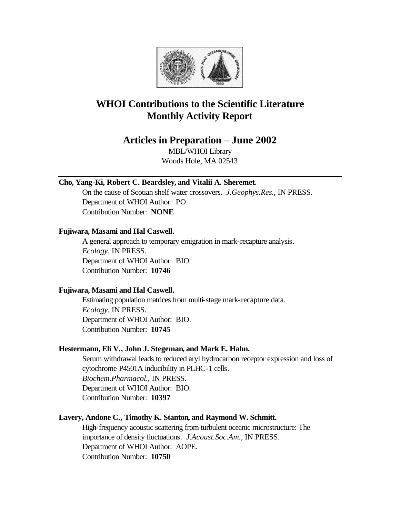

## **WHOI Contributions to the Scientific Literature Monthly Activity Report**

## **Articles in Preparation – June 2002**

MBL/WHOI Library Woods Hole, MA 02543

## **Cho, Yang-Ki, Robert C. Beardsley, and Vitalii A. Sheremet.**

On the cause of Scotian shelf water crossovers. *J.Geophys.Res.*, IN PRESS. Department of WHOI Author: PO. Contribution Number: **NONE**

### **Fujiwara, Masami and Hal Caswell.**

A general approach to temporary emigration in mark-recapture analysis. *Ecology*, IN PRESS. Department of WHOI Author: BIO. Contribution Number: **10746**

## **Fujiwara, Masami and Hal Caswell.**

Estimating population matrices from multi-stage mark-recapture data. *Ecology*, IN PRESS. Department of WHOI Author: BIO. Contribution Number: **10745**

## **Hestermann, Eli V., John J. Stegeman, and Mark E. Hahn.**

Serum withdrawal leads to reduced aryl hydrocarbon receptor expression and loss of cytochrome P4501A inducibility in PLHC-1 cells. *Biochem.Pharmacol.*, IN PRESS. Department of WHOI Author: BIO. Contribution Number: **10397**

## **Lavery, Andone C., Timothy K. Stanton, and Raymond W. Schmitt.**

High-frequency acoustic scattering from turbulent oceanic microstructure: The importance of density fluctuations. *J.Acoust.Soc.Am.*, IN PRESS. Department of WHOI Author: AOPE. Contribution Number: **10750**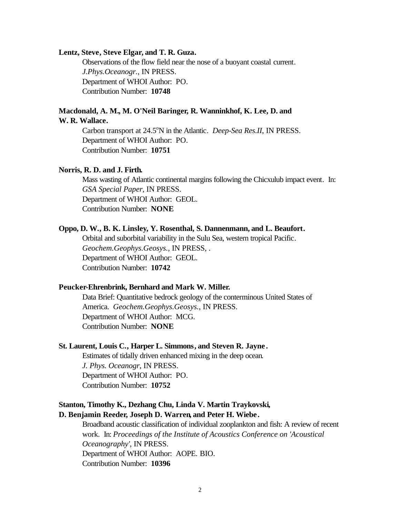#### **Lentz, Steve, Steve Elgar, and T. R. Guza.**

Observations of the flow field near the nose of a buoyant coastal current. *J.Phys.Oceanogr.*, IN PRESS. Department of WHOI Author: PO. Contribution Number: **10748**

# **Macdonald, A. M., M. O'Neil Baringer, R. Wanninkhof, K. Lee, D. and**

### **W. R. Wallace.**

Carbon transport at 24.5<sup>o</sup>N in the Atlantic. *Deep-Sea Res.II*, IN PRESS. Department of WHOI Author: PO. Contribution Number: **10751**

#### **Norris, R. D. and J. Firth.**

Mass wasting of Atlantic continental margins following the Chicxulub impact event. In: *GSA Special Paper*, IN PRESS. Department of WHOI Author: GEOL. Contribution Number: **NONE**

### **Oppo, D. W., B. K. Linsley, Y. Rosenthal, S. Dannenmann, and L. Beaufort.**

Orbital and suborbital variability in the Sulu Sea, western tropical Pacific. *Geochem.Geophys.Geosys.*, IN PRESS, . Department of WHOI Author: GEOL. Contribution Number: **10742**

### **Peucker-Ehrenbrink, Bernhard and Mark W. Miller.**

Data Brief: Quantitative bedrock geology of the conterminous United States of America. *Geochem.Geophys.Geosys.*, IN PRESS. Department of WHOI Author: MCG. Contribution Number: **NONE**

### **St. Laurent, Louis C., Harper L. Simmons, and Steven R. Jayne .**

Estimates of tidally driven enhanced mixing in the deep ocean. *J. Phys. Oceanogr*, IN PRESS. Department of WHOI Author: PO. Contribution Number: **10752**

### **Stanton, Timothy K., Dezhang Chu, Linda V. Martin Traykovski, D. Benjamin Reeder, Joseph D. Warren, and Peter H. Wiebe.**

Broadband acoustic classification of individual zooplankton and fish: A review of recent work. In: *Proceedings of the Institute of Acoustics Conference on 'Acoustical Oceanography'*, IN PRESS. Department of WHOI Author: AOPE. BIO. Contribution Number: **10396**